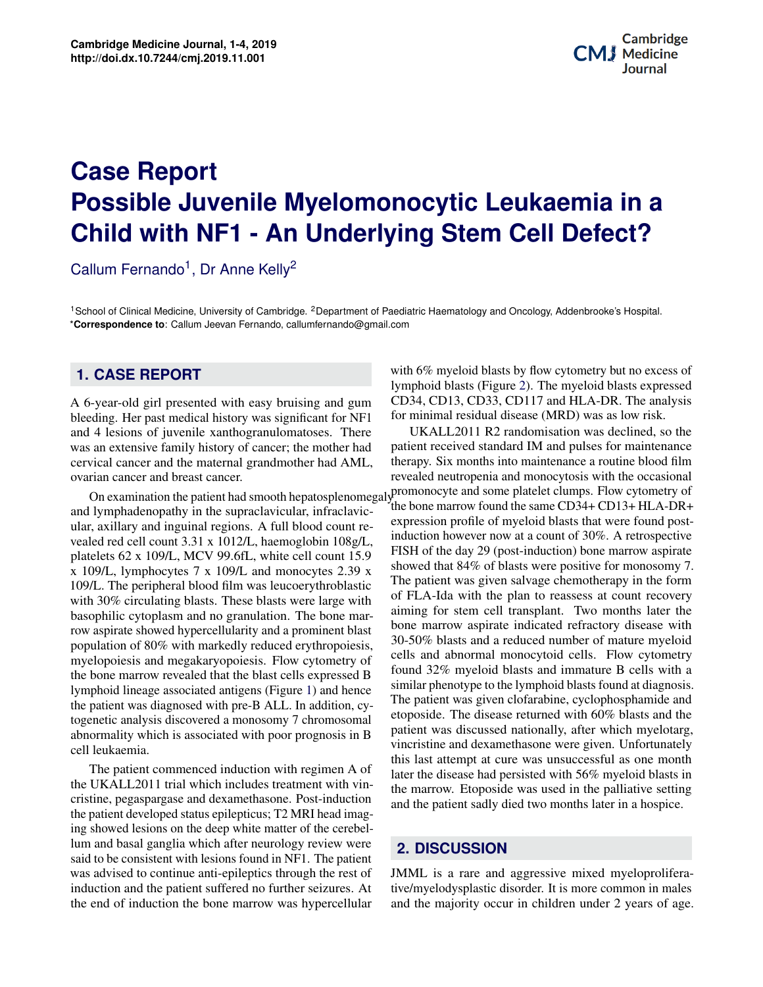# **Potential Applications of Three-dimensional Bioprinting in Regenerative Medicine Possible Juvenile Myelomonocytic Leukaemia in a Child with NF1 - An Underlying Stem Cell Defect? Case Report**

Callum Fernando<sup>1</sup>, Dr Anne Kelly<sup>2</sup>

<sup>1</sup>School of Clinical Medicine, University of Cambridge. <sup>2</sup>Department of Paediatric Haematology and Oncology, Addenbrooke's Hospital. \***Correspondence to**: Callum Jeevan Fernando, callumfernando@gmail.com

#### **1. CASE REPORT**

A 6-year-old girl presented with easy bruising and gum bleeding. Her past medical history was significant for NF1 and 4 lesions of juvenile xanthogranulomatoses. There was an extensive family history of cancer; the mother had cervical cancer and the maternal grandmother had AML, ovarian cancer and breast cancer.

**Contents** cell leukaemia. and lymphadenopathy in the supraclavicular, infraclavicular, axillary and inguinal regions. A full blood count revealed red cell count 3.31 x 1012/L, haemoglobin 108g/L, platelets 62 x 109/L, MCV 99.6fL, white cell count 15.9 x 109/L, lymphocytes 7 x 109/L and monocytes 2.39 x 109/L. The peripheral blood film was leucoerythroblastic with 30% circulating blasts. These blasts were large with basophilic cytoplasm and no granulation. The bone marrow aspirate showed hypercellularity and a prominent blast population of 80% with markedly reduced erythropoiesis, myelopoiesis and megakaryopoiesis. Flow cytometry of the bone marrow revealed that the blast cells expressed B lymphoid lineage associated antigens (Figure [1\)](#page-1-0) and hence the patient was diagnosed with pre-B ALL. In addition, cytogenetic analysis discovered a monosomy 7 chromosomal abnormality which is associated with poor prognosis in B

**1 Background 1** the UKALL2011 trial which includes treatment with vin-**2 Clinical need 2** cristine, pegaspargase and dexamethasone. Post-induction **3 Principles of Application** of Bioprinting of Bioprinting **2** *Principles of Applications* **2** lum and basal ganglia which after neurology review were was advised to continue anti-epileptics through the rest of induction and the patient suffered no further seizures. At the end of induction the bone marrow was hypercellular and medical researchers alike have been investigating the ex-The patient commenced induction with regimen A of the patient developed status epilepticus; T2 MRI head imagsaid to be consistent with lesions found in NF1. The patient

LA-DR. The analysis  $\alpha$  was as low risk. with 6% myeloid blasts by flow cytometry but no excess of lymphoid blasts (Figure [2\)](#page-1-1). The myeloid blasts expressed CD34, CD13, CD33, CD117 and HLA-DR. The analysis for minimal residual disease (MRD) was as low risk.

hance<br>d film cells and abnormal monocytoid cells. Flow cytometry<br>found 32% myeloid blasts and immature B cells with a It can be argued that the concept of biomagnetic concept of biomagnetic care-<br>etoposide. The disease returned with 60% blasts and the patient was discussed nationally, after which myelotarg,<br>winoristing and devenationally was given Unfortunately, this last attempt at cure was unsuccessful as one month  $\frac{1 \text{ A}}{1 \text{ A}}$  or later the disease had persisted with 56% myeloid blasts in the vinwhich suggests in the speed of the setting<br>and the patient sadly died two months later in a hospice. vincristine and dexamethasone were given. Unfortunately It imag-<br>imag-On examination the patient had smooth hepatosplenomegaly promonocyte and some platelet clumps. Flow cytometry of UKALL2011 R2 randomisation was declined, so the patient received standard IM and pulses for maintenance therapy. Six months into maintenance a routine blood film revealed neutropenia and monocytosis with the occasional the bone marrow found the same CD34+ CD13+ HLA-DR+ expression profile of myeloid blasts that were found postinduction however now at a count of 30%. A retrospective FISH of the day 29 (post-induction) bone marrow aspirate showed that 84% of blasts were positive for monosomy 7. The patient was given salvage chemotherapy in the form of FLA-Ida with the plan to reassess at count recovery aiming for stem cell transplant. Two months later the bone marrow aspirate indicated refractory disease with 30-50% blasts and a reduced number of mature myeloid cells and abnormal monocytoid cells. Flow cytometry similar phenotype to the lymphoid blasts found at diagnosis. The patient was given clofarabine, cyclophosphamide and the marrow. Etoposide was used in the palliative setting

#### citing prospects three-dimensional printing offers to the field **2. DISCUSSION**

patient<br>rest of MML is a rare and aggressive mixed myeloprolifera-E. At an averally elocyspiastic disorder. It is more common in males<br>ellular and the majority occur in children under 2 years of age. test of statute is a rare and aggressive mixed injeroproficient es. At tive/myelodysplastic disorder. It is more common in males medicine, bioprinting is beginning to play a role in regener-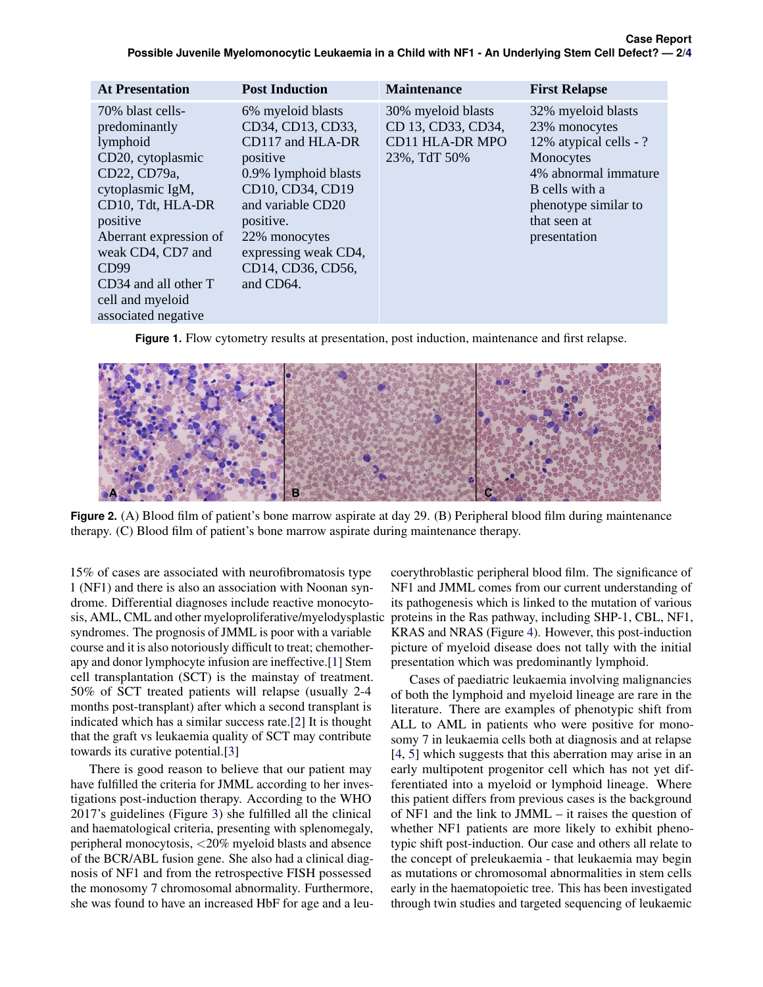<span id="page-1-0"></span>

| <b>At Presentation</b>   | <b>Post Induction</b> | <b>Maintenance</b>     | <b>First Relapse</b>   |
|--------------------------|-----------------------|------------------------|------------------------|
| 70% blast cells-         | 6% myeloid blasts     | 30% myeloid blasts     | 32% myeloid blasts     |
| predominantly            | CD34, CD13, CD33,     | CD 13, CD33, CD34,     | 23% monocytes          |
| lymphoid                 | CD117 and HLA-DR      | <b>CD11 HLA-DR MPO</b> | 12% atypical cells - ? |
| CD20, cytoplasmic        | positive              | 23%, TdT 50%           | Monocytes              |
| CD22, CD79a,             | 0.9% lymphoid blasts  |                        | 4% abnormal immature   |
| cytoplasmic IgM,         | CD10, CD34, CD19      |                        | B cells with a         |
| CD10, Tdt, HLA-DR        | and variable CD20     |                        | phenotype similar to   |
| positive                 | positive.             |                        | that seen at           |
| Aberrant expression of   | 22% monocytes         |                        | presentation           |
| weak CD4, CD7 and        | expressing weak CD4,  |                        |                        |
| CD99                     | CD14, CD36, CD56,     |                        |                        |
| $CD34$ and all other $T$ | and CD64.             |                        |                        |
| cell and myeloid         |                       |                        |                        |
| associated negative      |                       |                        |                        |

**Figure 1.** Flow cytometry results at presentation, post induction, maintenance and first relapse.

<span id="page-1-1"></span>

 $\mathbf{F}(\mathbf{C})$  Blood film of patient's bone marrow aspirate during maintenance therapy. (C) Blood film of patient's bone marrow aspirate during maintenance therapy. therapy. (C) Blood film of patient's bone marrow aspirate during maintenance therapy. **Figure 2.** (A) Blood film of patient's bone marrow aspirate at day 29. (B) Peripheral blood film during maintenance

drome. Differential diagnoses include reactive monocyto- its pathogenesis which is linked to the mutation of sis, AML, CML and other myeloproliferative/myelodysplastic proteins i 15% of cases are associated with neurofibromatosis type 1 (NF1) and there is also an association with Noonan synsyndromes. The prognosis of JMML is poor with a variable course and it is also notoriously difficult to treat; chemotherapy and donor lymphocyte infusion are ineffective.[\[1\]](#page-3-1) Stem cell transplantation (SCT) is the mainstay of treatment. 50% of SCT treated patients will relapse (usually 2-4 months post-transplant) after which a second transplant is indicated which has a similar success rate.[\[2\]](#page-3-2) It is thought that the graft vs leukaemia quality of SCT may contribute towards its curative potential.[\[3\]](#page-3-3)

There is good reason to believe that our patient may have fulfilled the criteria for JMML according to her investigations post-induction therapy. According to the WHO 2017's guidelines (Figure [3\)](#page-2-0) she fulfilled all the clinical and haematological criteria, presenting with splenomegaly, peripheral monocytosis, <20% myeloid blasts and absence of the BCR/ABL fusion gene. She also had a clinical diagnosis of NF1 and from the retrospective FISH possessed the monosomy 7 chromosomal abnormality. Furthermore, she was found to have an increased HbF for age and a leu-

coerythroblastic peripheral blood film. The significance of NF1 and JMML comes from our current understanding of its pathogenesis which is linked to the mutation of various proteins in the Ras pathway, including SHP-1, CBL, NF1, KRAS and NRAS (Figure [4\)](#page-2-1). However, this post-induction picture of myeloid disease does not tally with the initial presentation which was predominantly lymphoid.

Cases of paediatric leukaemia involving malignancies of both the lymphoid and myeloid lineage are rare in the literature. There are examples of phenotypic shift from ALL to AML in patients who were positive for monosomy 7 in leukaemia cells both at diagnosis and at relapse [\[4,](#page-3-4) [5\]](#page-3-5) which suggests that this aberration may arise in an early multipotent progenitor cell which has not yet differentiated into a myeloid or lymphoid lineage. Where this patient differs from previous cases is the background of NF1 and the link to JMML – it raises the question of whether NF1 patients are more likely to exhibit phenotypic shift post-induction. Our case and others all relate to the concept of preleukaemia - that leukaemia may begin as mutations or chromosomal abnormalities in stem cells early in the haematopoietic tree. This has been investigated through twin studies and targeted sequencing of leukaemic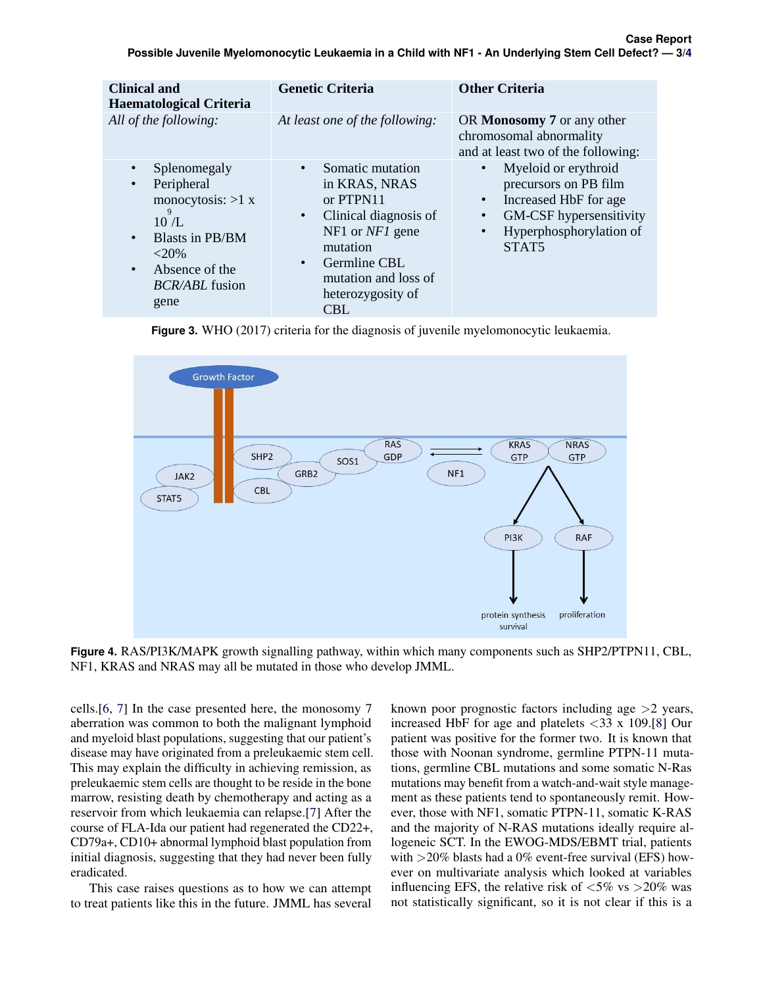<span id="page-2-0"></span>

| <b>Clinical and</b><br><b>Haematological Criteria</b>                                                                                                                                                      | <b>Genetic Criteria</b>                                                                                                                                                                                                    | <b>Other Criteria</b>                                                                                                                                                                                 |
|------------------------------------------------------------------------------------------------------------------------------------------------------------------------------------------------------------|----------------------------------------------------------------------------------------------------------------------------------------------------------------------------------------------------------------------------|-------------------------------------------------------------------------------------------------------------------------------------------------------------------------------------------------------|
| All of the following:                                                                                                                                                                                      | At least one of the following:                                                                                                                                                                                             | OR Monosomy 7 or any other<br>chromosomal abnormality<br>and at least two of the following:                                                                                                           |
| Splenomegaly<br>$\bullet$<br>Peripheral<br>$\bullet$<br>monocytosis: $>1 x$<br>9<br>10/L<br><b>Blasts in PB/BM</b><br>$\bullet$<br>$<20\%$<br>Absence of the<br>$\bullet$<br><i>BCR/ABL</i> fusion<br>gene | Somatic mutation<br>$\bullet$<br>in KRAS, NRAS<br>or PTPN11<br>Clinical diagnosis of<br>$\bullet$<br>NF1 or $NFI$ gene<br>mutation<br>Germline CBL<br>$\bullet$<br>mutation and loss of<br>heterozygosity of<br><b>CBL</b> | Myeloid or erythroid<br>$\bullet$<br>precursors on PB film<br>Increased HbF for age<br>$\bullet$<br>GM-CSF hypersensitivity<br>$\bullet$<br>Hyperphosphorylation of<br>$\bullet$<br>STAT <sub>5</sub> |

**Figure 3.** WHO (2017) criteria for the diagnosis of juvenile myelomonocytic leukaemia.

<span id="page-2-1"></span>

and NRAS may all be mutated in those who develop  $J_{\text{M}}$ KRAS and NRAS may all be mutated in those who develop JMML. NF1, KRAS and NRAS may all be mutated in those who develop JMML. **Figure 4.** RAS/PI3K/MAPK growth signalling pathway, within which many components such as SHP2/PTPN11, CBL,

disease may have originated from a preleukaemic stem cell. those who have originated from a preleukaemic stem cell. cells.[\[6,](#page-3-6) [7\]](#page-3-7) In the case presented here, the monosomy 7 aberration was common to both the malignant lymphoid and myeloid blast populations, suggesting that our patient's This may explain the difficulty in achieving remission, as preleukaemic stem cells are thought to be reside in the bone marrow, resisting death by chemotherapy and acting as a reservoir from which leukaemia can relapse.[\[7\]](#page-3-7) After the course of FLA-Ida our patient had regenerated the CD22+, CD79a+, CD10+ abnormal lymphoid blast population from initial diagnosis, suggesting that they had never been fully eradicated.

This case raises questions as to how we can attempt to treat patients like this in the future. JMML has several

yeloid blast populations, suggesting that our patient's patient was positive for the former two. It is known that known poor prognostic factors including age >2 years, increased HbF for age and platelets  $\langle 33 \times 109.9 \rangle$ [\[8\]](#page-3-8) Our those with Noonan syndrome, germline PTPN-11 mutations, germline CBL mutations and some somatic N-Ras mutations may benefit from a watch-and-wait style management as these patients tend to spontaneously remit. However, those with NF1, somatic PTPN-11, somatic K-RAS and the majority of N-RAS mutations ideally require allogeneic SCT. In the EWOG-MDS/EBMT trial, patients with >20% blasts had a 0% event-free survival (EFS) however on multivariate analysis which looked at variables influencing EFS, the relative risk of  $\langle 5\% \rangle$  vs  $> \frac{20\%}{80}$  was not statistically significant, so it is not clear if this is a